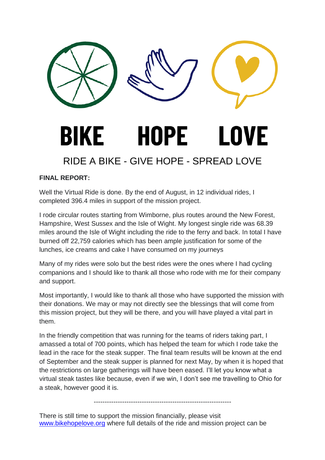

## **FINAL REPORT:**

Well the Virtual Ride is done. By the end of August, in 12 individual rides, I completed 396.4 miles in support of the mission project.

I rode circular routes starting from Wimborne, plus routes around the New Forest, Hampshire, West Sussex and the Isle of Wight. My longest single ride was 68.39 miles around the Isle of Wight including the ride to the ferry and back. In total I have burned off 22,759 calories which has been ample justification for some of the lunches, ice creams and cake I have consumed on my journeys

Many of my rides were solo but the best rides were the ones where I had cycling companions and I should like to thank all those who rode with me for their company and support.

Most importantly, I would like to thank all those who have supported the mission with their donations. We may or may not directly see the blessings that will come from this mission project, but they will be there, and you will have played a vital part in them.

In the friendly competition that was running for the teams of riders taking part, I amassed a total of 700 points, which has helped the team for which I rode take the lead in the race for the steak supper. The final team results will be known at the end of September and the steak supper is planned for next May, by when it is hoped that the restrictions on large gatherings will have been eased. I'll let you know what a virtual steak tastes like because, even if we win, I don't see me travelling to Ohio for a steak, however good it is.

---------------------------------------------------------------

There is still time to support the mission financially, please visit [www.bikehopelove.org](http://www.bikehopelove.org/) where full details of the ride and mission project can be